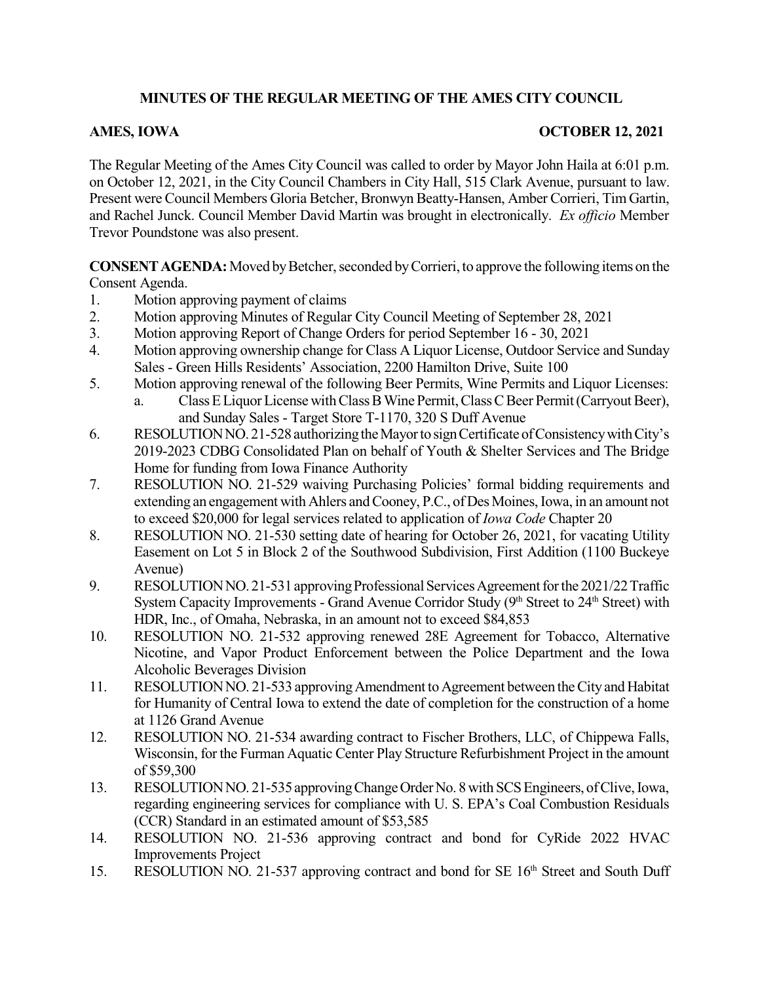## **MINUTES OF THE REGULAR MEETING OF THE AMES CITY COUNCIL**

## **AMES, IOWA OCTOBER 12, 2021**

The Regular Meeting of the Ames City Council was called to order by Mayor John Haila at 6:01 p.m. on October 12, 2021, in the City Council Chambers in City Hall, 515 Clark Avenue, pursuant to law. Present were Council Members Gloria Betcher, Bronwyn Beatty-Hansen, Amber Corrieri, Tim Gartin, and Rachel Junck. Council Member David Martin was brought in electronically. *Ex officio* Member Trevor Poundstone was also present.

**CONSENT AGENDA:** Moved by Betcher, seconded by Corrieri, to approve the following items on the Consent Agenda.

- 1. Motion approving payment of claims
- 2. Motion approving Minutes of Regular City Council Meeting of September 28, 2021
- 3. Motion approving Report of Change Orders for period September 16 30, 2021
- 4. Motion approving ownership change for Class A Liquor License, Outdoor Service and Sunday Sales - Green Hills Residents' Association, 2200 Hamilton Drive, Suite 100
- 5. Motion approving renewal of the following Beer Permits, Wine Permits and Liquor Licenses: a. Class E Liquor License with Class B Wine Permit, Class C Beer Permit (Carryout Beer),
- and Sunday Sales Target Store T-1170, 320 S Duff Avenue 6. RESOLUTIONNO. 21-528authorizingtheMayortosignCertificateofConsistencywithCity's 2019-2023 CDBG Consolidated Plan on behalf of Youth & Shelter Services and The Bridge Home for funding from Iowa Finance Authority
- 7. RESOLUTION NO. 21-529 waiving Purchasing Policies' formal bidding requirements and extending an engagement with Ahlers and Cooney, P.C., of Des Moines, Iowa, in an amount not to exceed \$20,000 for legal services related to application of *Iowa Code* Chapter 20
- 8. RESOLUTION NO. 21-530 setting date of hearing for October 26, 2021, for vacating Utility Easement on Lot 5 in Block 2 of the Southwood Subdivision, First Addition (1100 Buckeye Avenue)
- 9. RESOLUTION NO. 21-531 approving Professional Services Agreement for the 2021/22 Traffic System Capacity Improvements - Grand Avenue Corridor Study (9<sup>th</sup> Street to 24<sup>th</sup> Street) with HDR, Inc., of Omaha, Nebraska, in an amount not to exceed \$84,853
- 10. RESOLUTION NO. 21-532 approving renewed 28E Agreement for Tobacco, Alternative Nicotine, and Vapor Product Enforcement between the Police Department and the Iowa Alcoholic Beverages Division
- 11. RESOLUTION NO. 21-533 approving Amendment to Agreement between the City and Habitat for Humanity of Central Iowa to extend the date of completion for the construction of a home at 1126 Grand Avenue
- 12. RESOLUTION NO. 21-534 awarding contract to Fischer Brothers, LLC, of Chippewa Falls, Wisconsin, for the Furman Aquatic Center Play Structure Refurbishment Project in the amount of \$59,300
- 13. RESOLUTION NO. 21-535 approving Change Order No. 8 with SCS Engineers, of Clive, Iowa, regarding engineering services for compliance with U. S. EPA's Coal Combustion Residuals (CCR) Standard in an estimated amount of \$53,585
- 14. RESOLUTION NO. 21-536 approving contract and bond for CyRide 2022 HVAC Improvements Project
- 15. RESOLUTION NO. 21-537 approving contract and bond for SE 16<sup>th</sup> Street and South Duff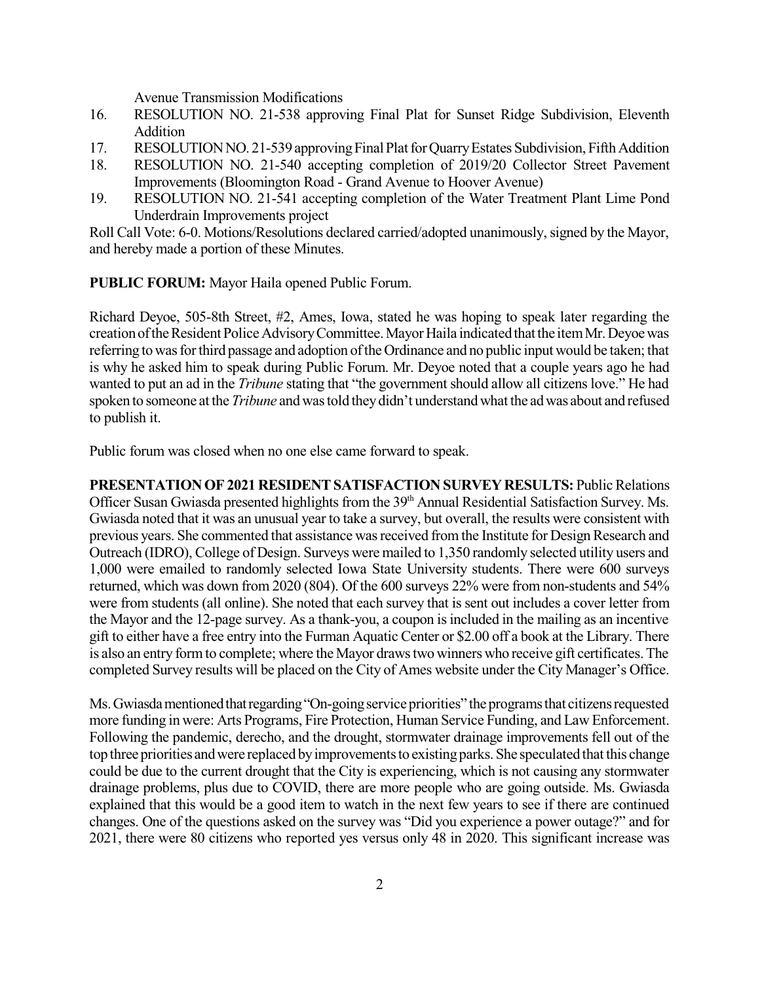Avenue Transmission Modifications

- 16. RESOLUTION NO. 21-538 approving Final Plat for Sunset Ridge Subdivision, Eleventh Addition
- 17. RESOLUTION NO. 21-539 approving Final Plat for Quarry Estates Subdivision, Fifth Addition
- 18. RESOLUTION NO. 21-540 accepting completion of 2019/20 Collector Street Pavement Improvements (Bloomington Road - Grand Avenue to Hoover Avenue)
- 19. RESOLUTION NO. 21-541 accepting completion of the Water Treatment Plant Lime Pond Underdrain Improvements project

Roll Call Vote: 6-0. Motions/Resolutions declared carried/adopted unanimously, signed by the Mayor, and hereby made a portion of these Minutes.

**PUBLIC FORUM:** Mayor Haila opened Public Forum.

Richard Deyoe, 505-8th Street, #2, Ames, Iowa, stated he was hoping to speak later regarding the creation of the Resident Police Advisory Committee. Mayor Haila indicated that the item Mr. Deyoe was referring to was for third passage and adoption of the Ordinance and no public input would be taken; that is why he asked him to speak during Public Forum. Mr. Deyoe noted that a couple years ago he had wanted to put an ad in the *Tribune* stating that "the government should allow all citizens love." He had spoken to someone at the *Tribune* and was told they didn't understand what the ad was about and refused to publish it.

Public forum was closed when no one else came forward to speak.

**PRESENTATION OF 2021 RESIDENT SATISFACTION SURVEY RESULTS: Public Relations** Officer Susan Gwiasda presented highlights from the 39<sup>th</sup> Annual Residential Satisfaction Survey. Ms. Gwiasda noted that it was an unusual year to take a survey, but overall, the results were consistent with previous years. She commented that assistance was received from the Institute for Design Research and Outreach (IDRO), College of Design. Surveys were mailed to 1,350 randomly selected utility users and 1,000 were emailed to randomly selected Iowa State University students. There were 600 surveys returned, which was down from 2020 (804). Of the 600 surveys 22% were from non-students and 54% were from students (all online). She noted that each survey that is sent out includes a cover letter from the Mayor and the 12-page survey. As a thank-you, a coupon isincluded in the mailing as an incentive gift to either have a free entry into the Furman Aquatic Center or \$2.00 off a book at the Library. There is also an entry formto complete; where the Mayor drawstwo winners who receive gift certificates.The completed Survey results will be placed on the City of Ames website under the City Manager's Office.

Ms. Gwiasda mentioned that regarding "On-going service priorities" the programs that citizens requested more funding in were: Arts Programs, Fire Protection, Human Service Funding, and Law Enforcement. Following the pandemic, derecho, and the drought, stormwater drainage improvements fell out of the top three priorities and were replaced by improvements to existing parks. She speculated that this change could be due to the current drought that the City is experiencing, which is not causing any stormwater drainage problems, plus due to COVID, there are more people who are going outside. Ms. Gwiasda explained that this would be a good item to watch in the next few years to see if there are continued changes. One of the questions asked on the survey was "Did you experience a power outage?" and for 2021, there were 80 citizens who reported yes versus only 48 in 2020. This significant increase was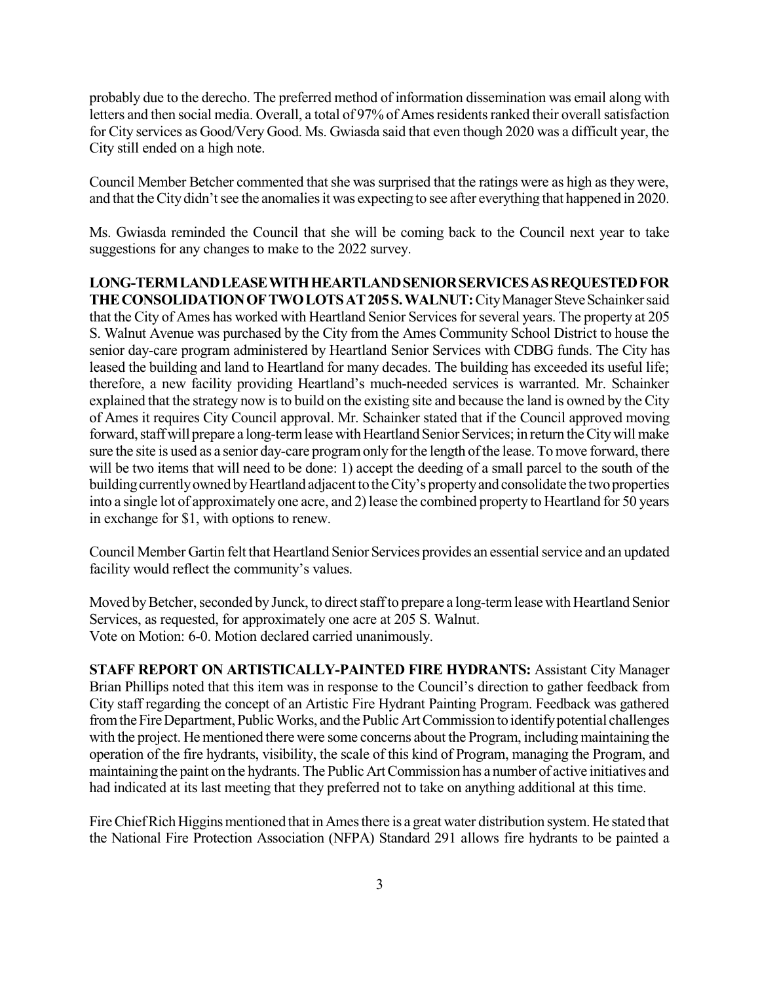probably due to the derecho. The preferred method of information dissemination was email along with letters and then social media. Overall, a total of 97% of Ames residents ranked their overall satisfaction for City services as Good/Very Good. Ms. Gwiasda said that even though 2020 was a difficult year, the City still ended on a high note.

Council Member Betcher commented that she was surprised that the ratings were as high as they were, and that the City didn't see the anomalies it was expecting to see after everything that happened in 2020.

Ms. Gwiasda reminded the Council that she will be coming back to the Council next year to take suggestions for any changes to make to the 2022 survey.

**LONG-TERMLANDLEASEWITHHEARTLANDSENIORSERVICESASREQUESTEDFOR** THE CONSOLIDATION OF TWO LOTS AT 205 S. WALNUT: City Manager Steve Schainker said that the City of Ames has worked with Heartland Senior Services for several years. The property at 205 S. Walnut Avenue was purchased by the City from the Ames Community School District to house the senior day-care program administered by Heartland Senior Services with CDBG funds. The City has leased the building and land to Heartland for many decades. The building has exceeded its useful life; therefore, a new facility providing Heartland's much-needed services is warranted. Mr. Schainker explained that the strategy now isto build on the existing site and because the land is owned by the City of Ames it requires City Council approval. Mr. Schainker stated that if the Council approved moving forward, staff will prepare a long-term lease with Heartland Senior Services; in return the City will make sure the site is used as a senior day-care program only for the length of the lease. To move forward, there will be two items that will need to be done: 1) accept the deeding of a small parcel to the south of the building currently owned by Heartland adjacent to the City's property and consolidate the two properties into a single lot of approximately one acre, and 2) lease the combined property to Heartland for 50 years in exchange for \$1, with options to renew.

Council Member Gartin felt that Heartland Senior Services provides an essential service and an updated facility would reflect the community's values.

Moved by Betcher, seconded by Junck, to direct staff to prepare a long-term lease with Heartland Senior Services, as requested, for approximately one acre at 205 S. Walnut. Vote on Motion: 6-0. Motion declared carried unanimously.

**STAFF REPORT ON ARTISTICALLY-PAINTED FIRE HYDRANTS:** Assistant City Manager Brian Phillips noted that this item was in response to the Council's direction to gather feedback from City staff regarding the concept of an Artistic Fire Hydrant Painting Program. Feedback was gathered from the Fire Department, Public Works, and the Public Art Commission to identify potential challenges with the project. He mentioned there were some concerns about the Program, including maintaining the operation of the fire hydrants, visibility, the scale of this kind of Program, managing the Program, and maintaining the paint on the hydrants. The Public Art Commission has a number of active initiatives and had indicated at its last meeting that they preferred not to take on anything additional at this time.

Fire Chief Rich Higgins mentioned that in Ames there is a great water distribution system. He stated that the National Fire Protection Association (NFPA) Standard 291 allows fire hydrants to be painted a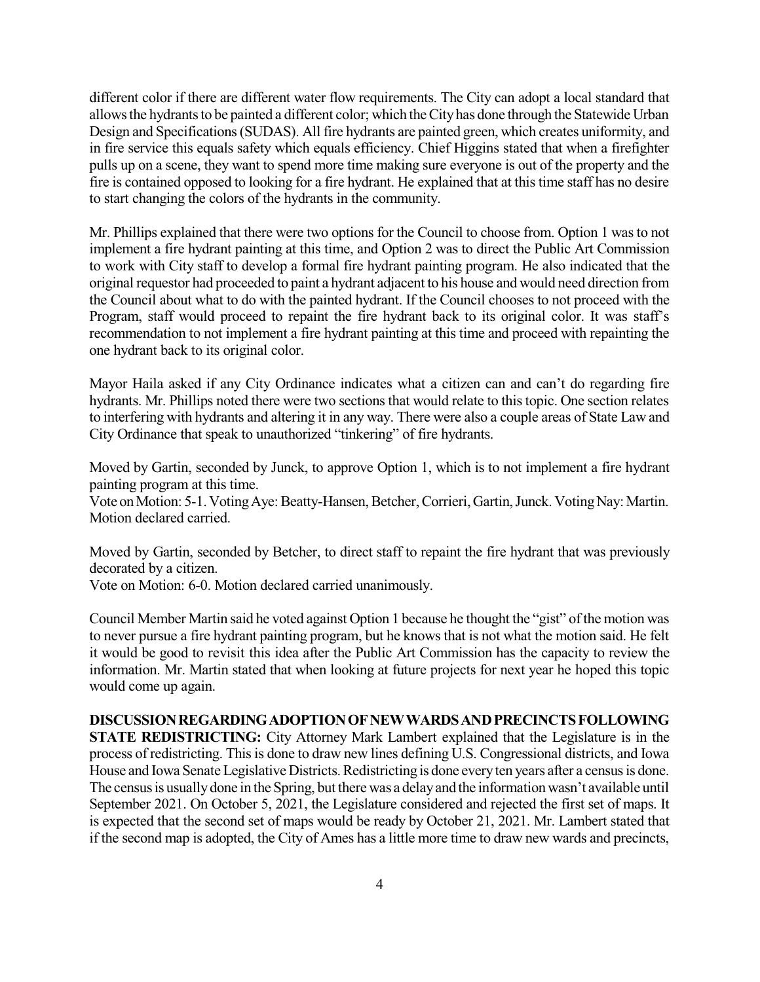different color if there are different water flow requirements. The City can adopt a local standard that allows the hydrants to be painted a different color; which the City has done through the Statewide Urban Design and Specifications(SUDAS). All fire hydrants are painted green, which creates uniformity, and in fire service this equals safety which equals efficiency. Chief Higgins stated that when a firefighter pulls up on a scene, they want to spend more time making sure everyone is out of the property and the fire is contained opposed to looking for a fire hydrant. He explained that at this time staff has no desire to start changing the colors of the hydrants in the community.

Mr. Phillips explained that there were two options for the Council to choose from. Option 1 wasto not implement a fire hydrant painting at this time, and Option 2 was to direct the Public Art Commission to work with City staff to develop a formal fire hydrant painting program. He also indicated that the original requestor had proceeded to paint a hydrant adjacent to his house and would need direction from the Council about what to do with the painted hydrant. If the Council chooses to not proceed with the Program, staff would proceed to repaint the fire hydrant back to its original color. It was staff's recommendation to not implement a fire hydrant painting at this time and proceed with repainting the one hydrant back to its original color.

Mayor Haila asked if any City Ordinance indicates what a citizen can and can't do regarding fire hydrants. Mr. Phillips noted there were two sections that would relate to this topic. One section relates to interfering with hydrants and altering it in any way. There were also a couple areas of State Law and City Ordinance that speak to unauthorized "tinkering" of fire hydrants.

Moved by Gartin, seconded by Junck, to approve Option 1, which is to not implement a fire hydrant painting program at this time.

Vote on Motion: 5-1. Voting Aye: Beatty-Hansen, Betcher, Corrieri, Gartin, Junck. Voting Nay: Martin. Motion declared carried.

Moved by Gartin, seconded by Betcher, to direct staff to repaint the fire hydrant that was previously decorated by a citizen.

Vote on Motion: 6-0. Motion declared carried unanimously.

Council Member Martin said he voted against Option 1 because he thought the "gist" of the motion was to never pursue a fire hydrant painting program, but he knows that is not what the motion said. He felt it would be good to revisit this idea after the Public Art Commission has the capacity to review the information. Mr. Martin stated that when looking at future projects for next year he hoped this topic would come up again.

**DISCUSSIONREGARDINGADOPTIONOFNEWWARDSANDPRECINCTSFOLLOWING STATE REDISTRICTING:** City Attorney Mark Lambert explained that the Legislature is in the process of redistricting. Thisis done to draw new lines defining U.S. Congressional districts, and Iowa House and Iowa Senate Legislative Districts. Redistricting is done every ten years after a census is done. The census is usually done in the Spring, but there was a delay and the information wasn't available until September 2021. On October 5, 2021, the Legislature considered and rejected the first set of maps. It is expected that the second set of maps would be ready by October 21, 2021. Mr. Lambert stated that if the second map is adopted, the City of Ames has a little more time to draw new wards and precincts,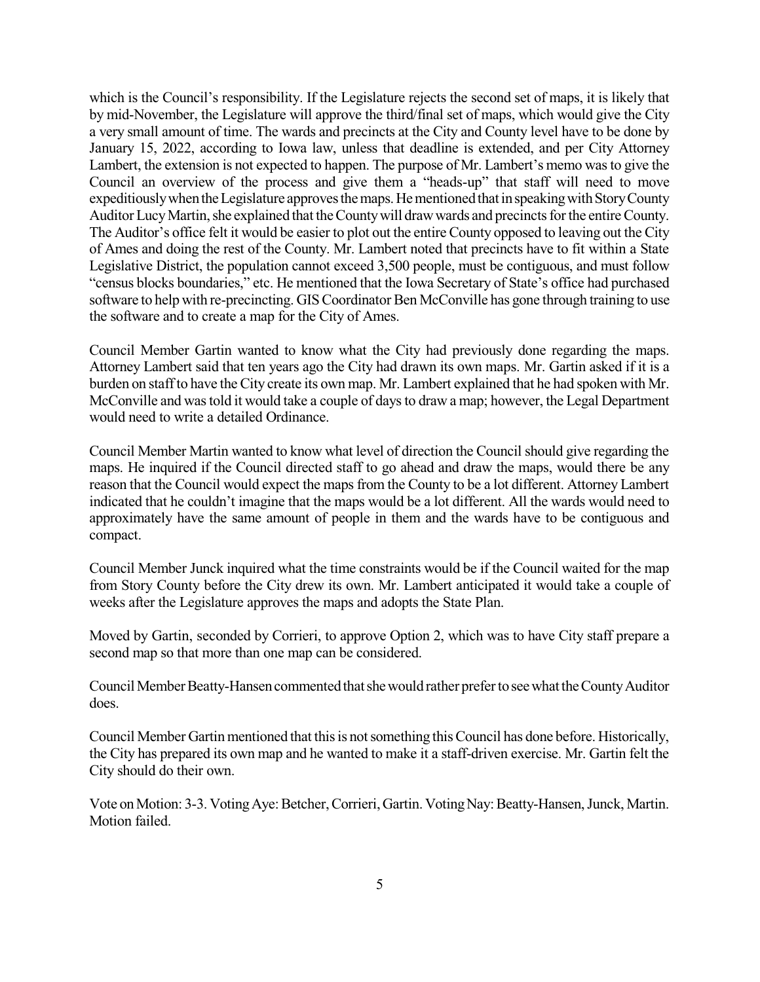which is the Council's responsibility. If the Legislature rejects the second set of maps, it is likely that by mid-November, the Legislature will approve the third/final set of maps, which would give the City a very small amount of time. The wards and precincts at the City and County level have to be done by January 15, 2022, according to Iowa law, unless that deadline is extended, and per City Attorney Lambert, the extension is not expected to happen. The purpose of Mr. Lambert's memo was to give the Council an overview of the process and give them a "heads-up" that staff will need to move expeditiously when the Legislature approves the maps. He mentioned that in speaking with Story County Auditor Lucy Martin, she explained that the County will draw wards and precincts for the entire County. The Auditor's office felt it would be easier to plot out the entire County opposed to leaving out the City of Ames and doing the rest of the County. Mr. Lambert noted that precincts have to fit within a State Legislative District, the population cannot exceed 3,500 people, must be contiguous, and must follow "census blocks boundaries," etc. He mentioned that the Iowa Secretary of State's office had purchased software to help with re-precincting. GIS Coordinator Ben McConville has gone through training to use the software and to create a map for the City of Ames.

Council Member Gartin wanted to know what the City had previously done regarding the maps. Attorney Lambert said that ten years ago the City had drawn its own maps. Mr. Gartin asked if it is a burden on staffto have theCity create its own map. Mr. Lambert explained that he had spoken with Mr. McConville and wastold it would take a couple of daysto draw a map; however, the Legal Department would need to write a detailed Ordinance.

Council Member Martin wanted to know what level of direction the Council should give regarding the maps. He inquired if the Council directed staff to go ahead and draw the maps, would there be any reason that the Council would expect the maps from the County to be a lot different. Attorney Lambert indicated that he couldn't imagine that the maps would be a lot different. All the wards would need to approximately have the same amount of people in them and the wards have to be contiguous and compact.

Council Member Junck inquired what the time constraints would be if the Council waited for the map from Story County before the City drew its own. Mr. Lambert anticipated it would take a couple of weeks after the Legislature approves the maps and adopts the State Plan.

Moved by Gartin, seconded by Corrieri, to approve Option 2, which was to have City staff prepare a second map so that more than one map can be considered.

Council Member Beatty-Hansen commented that she would rather prefer to see what the County Auditor does.

Council Member Gartin mentioned that this is not something this Council has done before. Historically, the City has prepared its own map and he wanted to make it a staff-driven exercise. Mr. Gartin felt the City should do their own.

Vote on Motion: 3-3. Voting Aye: Betcher, Corrieri, Gartin. Voting Nay: Beatty-Hansen, Junck, Martin. Motion failed.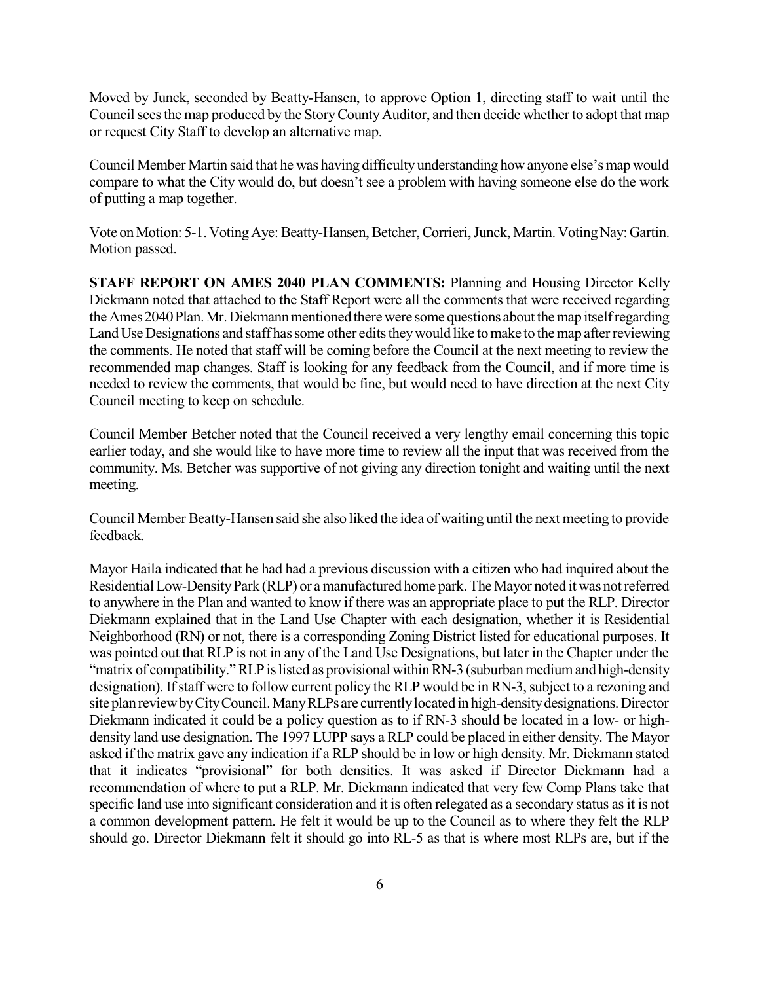Moved by Junck, seconded by Beatty-Hansen, to approve Option 1, directing staff to wait until the Council sees the map produced by the Story County Auditor, and then decide whether to adopt that map or request City Staff to develop an alternative map.

Council Member Martin said that he was having difficulty understanding how anyone else's map would compare to what the City would do, but doesn't see a problem with having someone else do the work of putting a map together.

Vote on Motion: 5-1. Voting Aye: Beatty-Hansen, Betcher, Corrieri, Junck, Martin. Voting Nay: Gartin. Motion passed.

**STAFF REPORT ON AMES 2040 PLAN COMMENTS:** Planning and Housing Director Kelly Diekmann noted that attached to the Staff Report were all the comments that were received regarding the Ames 2040 Plan. Mr. Diekmann mentioned there were some questions about the map itself regarding Land Use Designations and staff has some other edits they would like to make to the map after reviewing the comments. He noted that staff will be coming before the Council at the next meeting to review the recommended map changes. Staff is looking for any feedback from the Council, and if more time is needed to review the comments, that would be fine, but would need to have direction at the next City Council meeting to keep on schedule.

Council Member Betcher noted that the Council received a very lengthy email concerning this topic earlier today, and she would like to have more time to review all the input that was received from the community. Ms. Betcher was supportive of not giving any direction tonight and waiting until the next meeting.

Council Member Beatty-Hansen said she also liked the idea ofwaiting until the next meeting to provide feedback.

Mayor Haila indicated that he had had a previous discussion with a citizen who had inquired about the Residential Low-Density Park (RLP) or a manufactured home park. The Mayor noted it was not referred to anywhere in the Plan and wanted to know if there was an appropriate place to put the RLP. Director Diekmann explained that in the Land Use Chapter with each designation, whether it is Residential Neighborhood (RN) or not, there is a corresponding Zoning District listed for educational purposes. It was pointed out that RLP is not in any of the Land Use Designations, but later in the Chapter under the "matrix of compatibility." RLP is listed as provisional within RN-3 (suburban medium and high-density designation). If staff were to follow current policy the RLP would be in RN-3, subject to a rezoning and site planreviewbyCityCouncil.ManyRLPs are currentlylocatedin high-densitydesignations.Director Diekmann indicated it could be a policy question as to if RN-3 should be located in a low- or highdensity land use designation. The 1997 LUPP says a RLP could be placed in either density. The Mayor asked if the matrix gave any indication if a RLP should be in low or high density. Mr. Diekmann stated that it indicates "provisional" for both densities. It was asked if Director Diekmann had a recommendation of where to put a RLP. Mr. Diekmann indicated that very few Comp Plans take that specific land use into significant consideration and it is often relegated as a secondary status as it is not a common development pattern. He felt it would be up to the Council as to where they felt the RLP should go. Director Diekmann felt it should go into RL-5 as that is where most RLPs are, but if the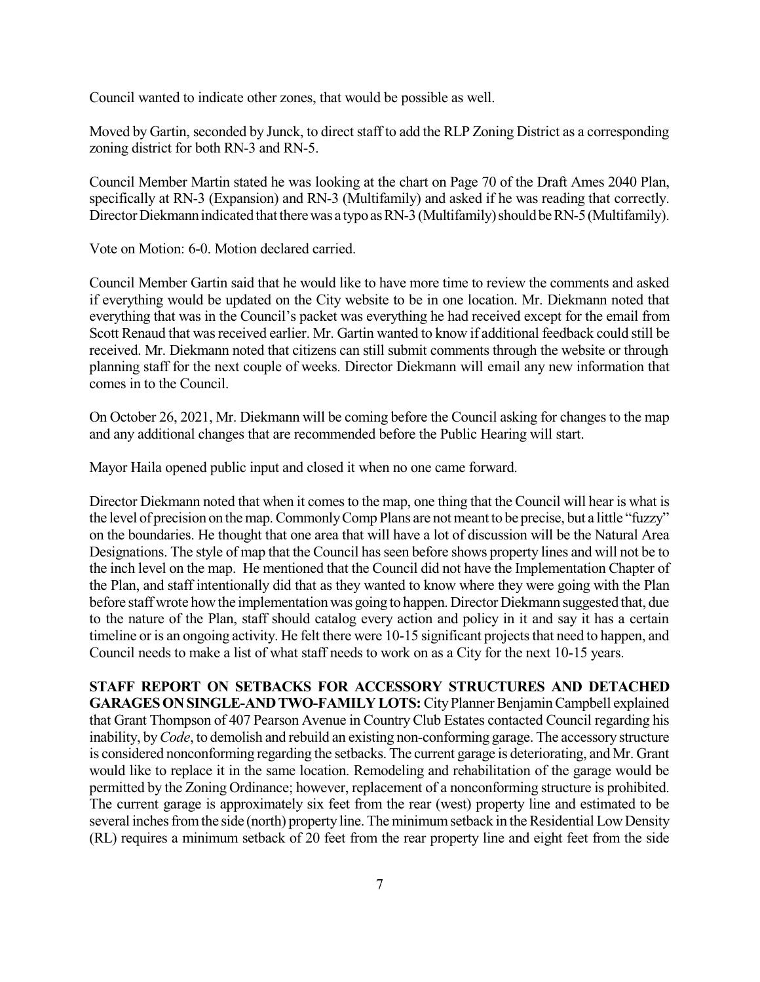Council wanted to indicate other zones, that would be possible as well.

Moved by Gartin, seconded by Junck, to direct staff to add the RLP Zoning District as a corresponding zoning district for both RN-3 and RN-5.

Council Member Martin stated he was looking at the chart on Page 70 of the Draft Ames 2040 Plan, specifically at RN-3 (Expansion) and RN-3 (Multifamily) and asked if he was reading that correctly. Director Diekmann indicated that there was a typo as RN-3 (Multifamily) should be RN-5 (Multifamily).

Vote on Motion: 6-0. Motion declared carried.

Council Member Gartin said that he would like to have more time to review the comments and asked if everything would be updated on the City website to be in one location. Mr. Diekmann noted that everything that was in the Council's packet was everything he had received except for the email from Scott Renaud that was received earlier. Mr. Gartin wanted to know if additional feedback could still be received. Mr. Diekmann noted that citizens can still submit comments through the website or through planning staff for the next couple of weeks. Director Diekmann will email any new information that comes in to the Council.

On October 26, 2021, Mr. Diekmann will be coming before the Council asking for changes to the map and any additional changes that are recommended before the Public Hearing will start.

Mayor Haila opened public input and closed it when no one came forward.

Director Diekmann noted that when it comes to the map, one thing that the Council will hear is what is the level of precision on the map. Commonly Comp Plans are not meant to be precise, but a little "fuzzy" on the boundaries. He thought that one area that will have a lot of discussion will be the Natural Area Designations. The style of map that the Council has seen before shows property lines and will not be to the inch level on the map. He mentioned that the Council did not have the Implementation Chapter of the Plan, and staff intentionally did that as they wanted to know where they were going with the Plan before staff wrote how the implementation was going to happen. Director Diekmann suggested that, due to the nature of the Plan, staff should catalog every action and policy in it and say it has a certain timeline or is an ongoing activity. He felt there were 10-15 significant projects that need to happen, and Council needs to make a list of what staff needs to work on as a City for the next 10-15 years.

**STAFF REPORT ON SETBACKS FOR ACCESSORY STRUCTURES AND DETACHED** GARAGES ON SINGLE-AND TWO-FAMILY LOTS: City Planner Benjamin Campbell explained that Grant Thompson of 407 Pearson Avenue in Country Club Estates contacted Council regarding his inability, by*Code*, to demolish and rebuild an existing non-conforming garage. The accessory structure is considered nonconforming regarding the setbacks. The current garage is deteriorating, and Mr. Grant would like to replace it in the same location. Remodeling and rehabilitation of the garage would be permitted by the Zoning Ordinance; however, replacement of a nonconforming structure is prohibited. The current garage is approximately six feet from the rear (west) property line and estimated to be several inches from the side (north) property line. The minimum setback in the Residential Low Density (RL) requires a minimum setback of 20 feet from the rear property line and eight feet from the side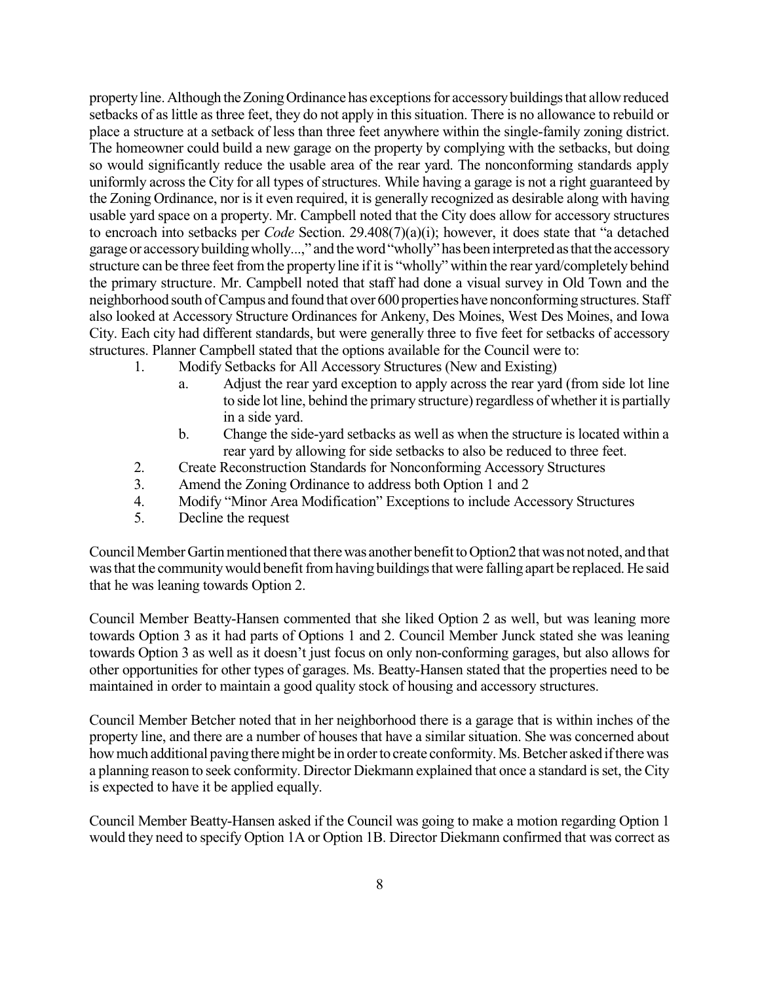propertyline. Although theZoningOrdinance has exceptionsfor accessorybuildingsthat allowreduced setbacks of as little as three feet, they do not apply in this situation. There is no allowance to rebuild or place a structure at a setback of less than three feet anywhere within the single-family zoning district. The homeowner could build a new garage on the property by complying with the setbacks, but doing so would significantly reduce the usable area of the rear yard. The nonconforming standards apply uniformly acrossthe City for all types of structures. While having a garage is not a right guaranteed by the Zoning Ordinance, nor is it even required, it is generally recognized as desirable along with having usable yard space on a property. Mr. Campbell noted that the City does allow for accessory structures to encroach into setbacks per *Code* Section. 29.408(7)(a)(i); however, it does state that "a detached garage or accessory building wholly...," and the word "wholly" has been interpreted as that the accessory structure can be three feet from the property line if it is "wholly" within the rear yard/completely behind the primary structure. Mr. Campbell noted that staff had done a visual survey in Old Town and the neighborhood south ofCampus and found that over 600 properties have nonconforming structures. Staff also looked at Accessory Structure Ordinances for Ankeny, Des Moines, West Des Moines, and Iowa City. Each city had different standards, but were generally three to five feet for setbacks of accessory structures. Planner Campbell stated that the options available for the Council were to:

- 1. Modify Setbacks for All Accessory Structures (New and Existing)
	- a. Adjust the rear yard exception to apply across the rear yard (from side lot line to side lot line, behind the primary structure) regardless of whether it is partially in a side yard.
	- b. Change the side-yard setbacks as well as when the structure is located within a rear yard by allowing for side setbacks to also be reduced to three feet.
- 2. Create Reconstruction Standards for Nonconforming Accessory Structures
- 3. Amend the Zoning Ordinance to address both Option 1 and 2
- 4. Modify "Minor Area Modification" Exceptions to include Accessory Structures
- 5. Decline the request

Council Member Gartin mentioned that there was another benefit to Option2 that was not noted, and that was that the community would benefit from having buildings that were falling apart be replaced. He said that he was leaning towards Option 2.

Council Member Beatty-Hansen commented that she liked Option 2 as well, but was leaning more towards Option 3 as it had parts of Options 1 and 2. Council Member Junck stated she was leaning towards Option 3 as well as it doesn't just focus on only non-conforming garages, but also allows for other opportunities for other types of garages. Ms. Beatty-Hansen stated that the properties need to be maintained in order to maintain a good quality stock of housing and accessory structures.

Council Member Betcher noted that in her neighborhood there is a garage that is within inches of the property line, and there are a number of houses that have a similar situation. She was concerned about how much additional paving there might be in order to create conformity. Ms. Betcher asked if there was a planning reason to seek conformity. Director Diekmann explained that once a standard isset, the City is expected to have it be applied equally.

Council Member Beatty-Hansen asked if the Council was going to make a motion regarding Option 1 would they need to specify Option 1A or Option 1B. Director Diekmann confirmed that was correct as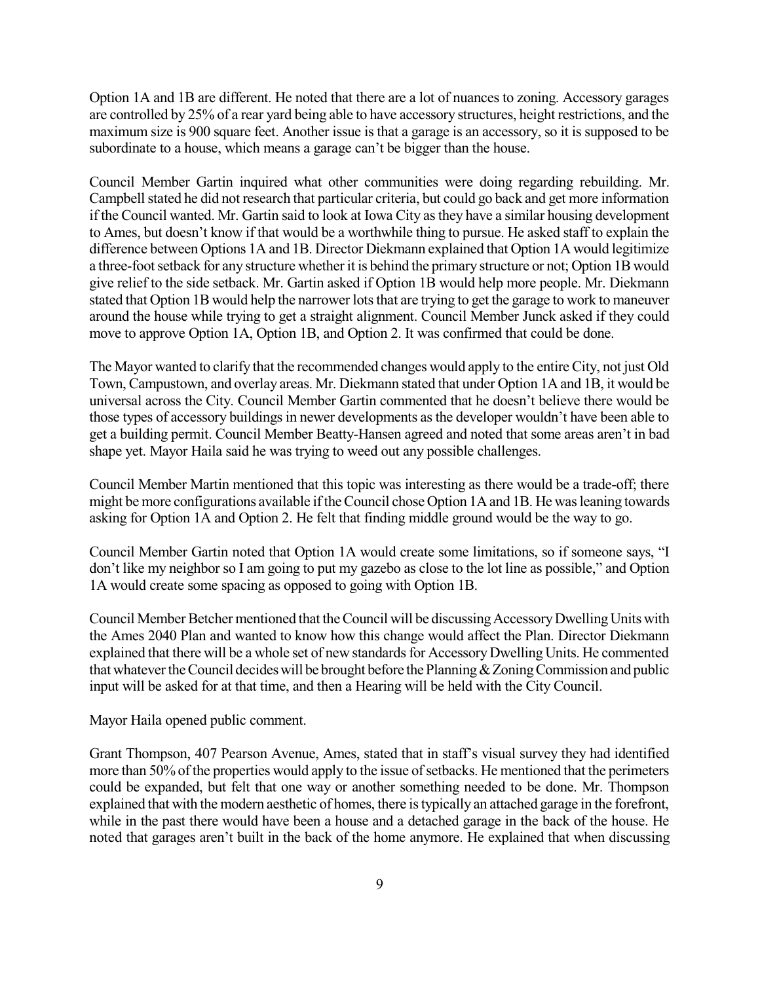Option 1A and 1B are different. He noted that there are a lot of nuances to zoning. Accessory garages are controlled by 25% of a rear yard being able to have accessory structures, height restrictions, and the maximum size is 900 square feet. Another issue is that a garage is an accessory, so it is supposed to be subordinate to a house, which means a garage can't be bigger than the house.

Council Member Gartin inquired what other communities were doing regarding rebuilding. Mr. Campbell stated he did not research that particular criteria, but could go back and get more information if the Council wanted. Mr. Gartin said to look at Iowa City asthey have a similar housing development to Ames, but doesn't know if that would be a worthwhile thing to pursue. He asked staff to explain the difference between Options 1A and 1B. Director Diekmann explained that Option 1A would legitimize a three-foot setback for any structure whether it is behind the primary structure or not; Option 1B would give relief to the side setback. Mr. Gartin asked if Option 1B would help more people. Mr. Diekmann stated that Option 1B would help the narrower lots that are trying to get the garage to work to maneuver around the house while trying to get a straight alignment. Council Member Junck asked if they could move to approve Option 1A, Option 1B, and Option 2. It was confirmed that could be done.

The Mayor wanted to clarify that the recommended changes would apply to the entire City, not just Old Town, Campustown, and overlay areas. Mr. Diekmann stated that under Option 1A and 1B, it would be universal across the City. Council Member Gartin commented that he doesn't believe there would be those types of accessory buildings in newer developments as the developer wouldn't have been able to get a building permit. Council Member Beatty-Hansen agreed and noted that some areas aren't in bad shape yet. Mayor Haila said he was trying to weed out any possible challenges.

Council Member Martin mentioned that this topic was interesting as there would be a trade-off; there might be more configurations available iftheCouncil chose Option 1Aand 1B. He wasleaning towards asking for Option 1A and Option 2. He felt that finding middle ground would be the way to go.

Council Member Gartin noted that Option 1A would create some limitations, so if someone says, "I don't like my neighbor so I am going to put my gazebo as close to the lot line as possible," and Option 1A would create some spacing as opposed to going with Option 1B.

Council Member Betcher mentioned that the Council will be discussing Accessory Dwelling Units with the Ames 2040 Plan and wanted to know how this change would affect the Plan. Director Diekmann explained that there will be a whole set of new standards for Accessory Dwelling Units. He commented that whatever the Council decides will be brought before the Planning & Zoning Commission and public input will be asked for at that time, and then a Hearing will be held with the City Council.

Mayor Haila opened public comment.

Grant Thompson, 407 Pearson Avenue, Ames, stated that in staff's visual survey they had identified more than 50% of the properties would apply to the issue of setbacks. He mentioned that the perimeters could be expanded, but felt that one way or another something needed to be done. Mr. Thompson explained that with the modern aesthetic of homes, there is typically an attached garage in the forefront, while in the past there would have been a house and a detached garage in the back of the house. He noted that garages aren't built in the back of the home anymore. He explained that when discussing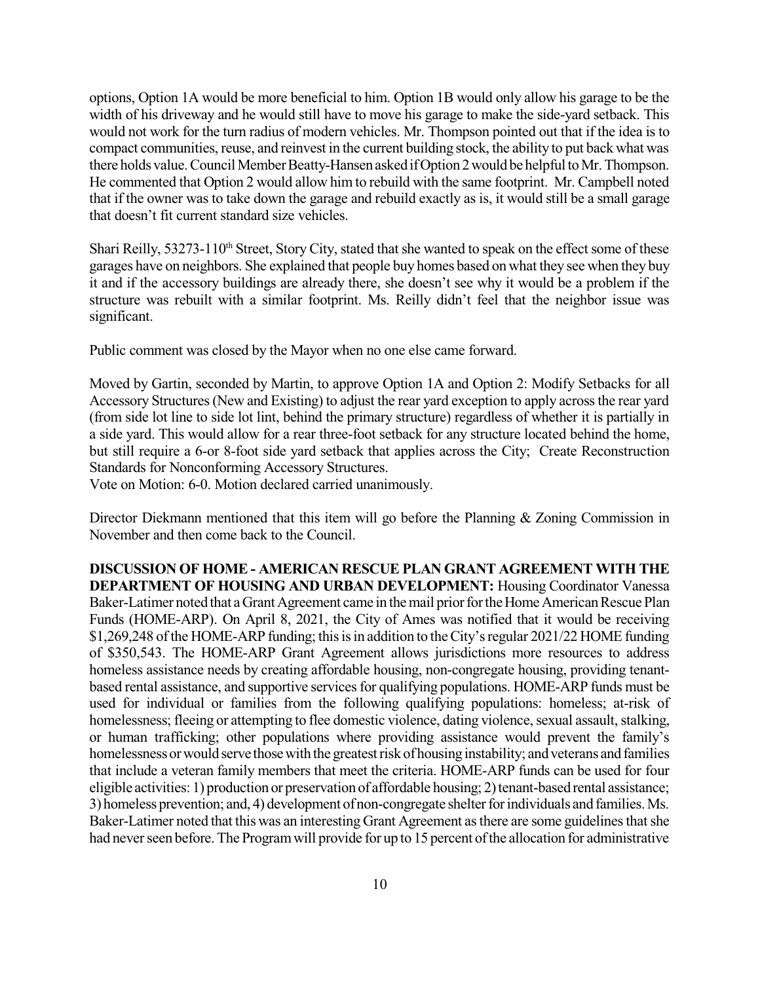options, Option 1A would be more beneficial to him. Option 1B would only allow his garage to be the width of his driveway and he would still have to move his garage to make the side-yard setback. This would not work for the turn radius of modern vehicles. Mr. Thompson pointed out that if the idea is to compact communities, reuse, and reinvest in the current building stock, the ability to put back what was there holds value. Council Member Beatty-Hansen asked if Option 2 would be helpful to Mr. Thompson. He commented that Option 2 would allow him to rebuild with the same footprint. Mr. Campbell noted that if the owner was to take down the garage and rebuild exactly as is, it would still be a small garage that doesn't fit current standard size vehicles.

Shari Reilly, 53273-110<sup>th</sup> Street, Story City, stated that she wanted to speak on the effect some of these garages have on neighbors. She explained that people buy homes based on what they see when they buy it and if the accessory buildings are already there, she doesn't see why it would be a problem if the structure was rebuilt with a similar footprint. Ms. Reilly didn't feel that the neighbor issue was significant.

Public comment was closed by the Mayor when no one else came forward.

Moved by Gartin, seconded by Martin, to approve Option 1A and Option 2: Modify Setbacks for all Accessory Structures (New and Existing) to adjust the rear yard exception to apply across the rear yard (from side lot line to side lot lint, behind the primary structure) regardless of whether it is partially in a side yard. This would allow for a rear three-foot setback for any structure located behind the home, but still require a 6-or 8-foot side yard setback that applies across the City; Create Reconstruction Standards for Nonconforming Accessory Structures.

Vote on Motion: 6-0. Motion declared carried unanimously.

Director Diekmann mentioned that this item will go before the Planning & Zoning Commission in November and then come back to the Council.

**DISCUSSION OF HOME - AMERICAN RESCUE PLAN GRANT AGREEMENT WITH THE DEPARTMENT OF HOUSING AND URBAN DEVELOPMENT:** Housing Coordinator Vanessa Baker-Latimer noted that a Grant Agreement came in the mail prior for the Home American Rescue Plan Funds (HOME-ARP). On April 8, 2021, the City of Ames was notified that it would be receiving \$1,269,248 of the HOME-ARP funding; this is in addition to the City's regular 2021/22 HOME funding of \$350,543. The HOME-ARP Grant Agreement allows jurisdictions more resources to address homeless assistance needs by creating affordable housing, non-congregate housing, providing tenantbased rental assistance, and supportive services for qualifying populations. HOME-ARP funds must be used for individual or families from the following qualifying populations: homeless; at-risk of homelessness; fleeing or attempting to flee domestic violence, dating violence, sexual assault, stalking, or human trafficking; other populations where providing assistance would prevent the family's homelessness or would serve those with the greatest risk of housing instability; and veterans and families that include a veteran family members that meet the criteria. HOME-ARP funds can be used for four eligible activities: 1) production or preservation of affordable housing; 2) tenant-based rental assistance; 3) homeless prevention; and, 4) development of non-congregate shelter for individuals and families. Ms. Baker-Latimer noted that this was an interesting Grant Agreement as there are some guidelines that she had never seen before. The Program will provide for up to 15 percent of the allocation for administrative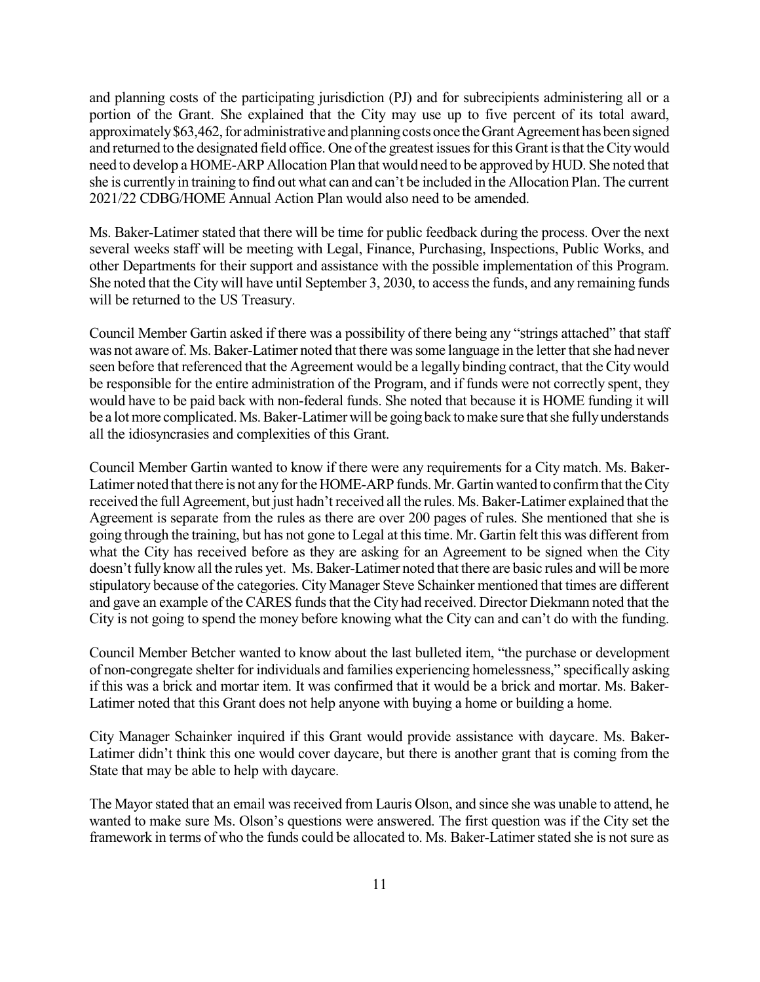and planning costs of the participating jurisdiction (PJ) and for subrecipients administering all or a portion of the Grant. She explained that the City may use up to five percent of its total award, approximately \$63,462, for administrative and planning costs once the Grant Agreement has been signed and returned to the designated field office. One of the greatest issues for this Grant is that the City would need to develop a HOME-ARP Allocation Plan that would need to be approved by HUD. She noted that she is currently in training to find out what can and can't be included in the Allocation Plan. The current 2021/22 CDBG/HOME Annual Action Plan would also need to be amended.

Ms. Baker-Latimer stated that there will be time for public feedback during the process. Over the next several weeks staff will be meeting with Legal, Finance, Purchasing, Inspections, Public Works, and other Departments for their support and assistance with the possible implementation of this Program. She noted that the City will have until September 3, 2030, to access the funds, and any remaining funds will be returned to the US Treasury.

Council Member Gartin asked if there was a possibility of there being any "strings attached" that staff was not aware of. Ms. Baker-Latimer noted that there was some language in the letter that she had never seen before that referenced that the Agreement would be a legally binding contract, that the City would be responsible for the entire administration of the Program, and if funds were not correctly spent, they would have to be paid back with non-federal funds. She noted that because it is HOME funding it will be a lot more complicated. Ms. Baker-Latimer will be going back to make sure that she fully understands all the idiosyncrasies and complexities of this Grant.

Council Member Gartin wanted to know if there were any requirements for a City match. Ms. Baker-Latimer noted that there is not any for the HOME-ARP funds. Mr. Gartin wanted to confirm that the City received the full Agreement, but just hadn't received all the rules. Ms. Baker-Latimer explained that the Agreement is separate from the rules as there are over 200 pages of rules. She mentioned that she is going through the training, but has not gone to Legal at this time. Mr. Gartin felt this was different from what the City has received before as they are asking for an Agreement to be signed when the City doesn't fully know all the rules yet. Ms. Baker-Latimer noted that there are basic rules and will be more stipulatory because of the categories. City Manager Steve Schainker mentioned that times are different and gave an example of the CARES funds that the City had received. Director Diekmann noted that the City is not going to spend the money before knowing what the City can and can't do with the funding.

Council Member Betcher wanted to know about the last bulleted item, "the purchase or development of non-congregate shelter for individuals and families experiencing homelessness," specifically asking if this was a brick and mortar item. It was confirmed that it would be a brick and mortar. Ms. Baker-Latimer noted that this Grant does not help anyone with buying a home or building a home.

City Manager Schainker inquired if this Grant would provide assistance with daycare. Ms. Baker-Latimer didn't think this one would cover daycare, but there is another grant that is coming from the State that may be able to help with daycare.

The Mayor stated that an email was received from Lauris Olson, and since she was unable to attend, he wanted to make sure Ms. Olson's questions were answered. The first question was if the City set the framework in terms of who the funds could be allocated to. Ms. Baker-Latimer stated she is not sure as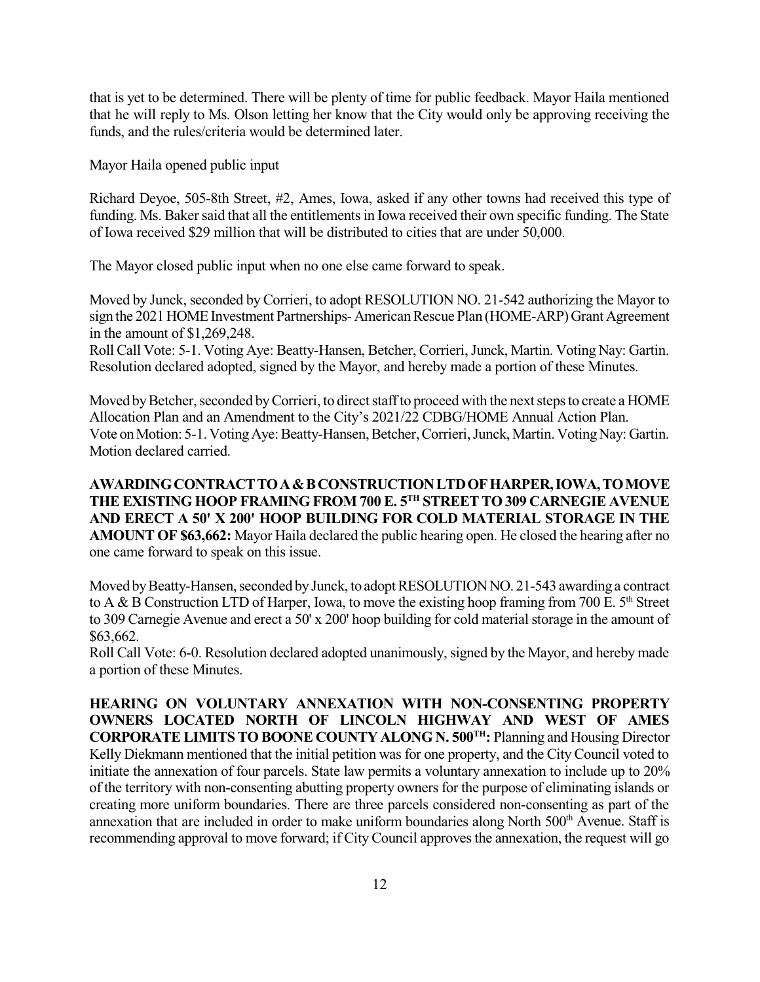that is yet to be determined. There will be plenty of time for public feedback. Mayor Haila mentioned that he will reply to Ms. Olson letting her know that the City would only be approving receiving the funds, and the rules/criteria would be determined later.

Mayor Haila opened public input

Richard Deyoe, 505-8th Street, #2, Ames, Iowa, asked if any other towns had received this type of funding. Ms. Baker said that all the entitlements in Iowa received their own specific funding. The State of Iowa received \$29 million that will be distributed to cities that are under 50,000.

The Mayor closed public input when no one else came forward to speak.

Moved by Junck, seconded by Corrieri, to adopt RESOLUTION NO. 21-542 authorizing the Mayor to sign the 2021 HOME Investment Partnerships- American Rescue Plan (HOME-ARP) Grant Agreement in the amount of \$1,269,248.

Roll Call Vote: 5-1. Voting Aye: Beatty-Hansen, Betcher, Corrieri, Junck, Martin. Voting Nay: Gartin. Resolution declared adopted, signed by the Mayor, and hereby made a portion of these Minutes.

Moved by Betcher, seconded by Corrieri, to direct staff to proceed with the next steps to create a HOME Allocation Plan and an Amendment to the City's 2021/22 CDBG/HOME Annual Action Plan. Vote on Motion: 5-1. Voting Aye: Beatty-Hansen, Betcher, Corrieri, Junck, Martin. Voting Nay: Gartin. Motion declared carried.

**AWARDINGCONTRACTTOA&BCONSTRUCTIONLTDOFHARPER,IOWA,TOMOVE THE EXISTING HOOP FRAMING FROM 700 E. 5 TH STREETTO309 CARNEGIE AVENUE AND ERECT A 50' X 200' HOOP BUILDING FOR COLD MATERIAL STORAGE IN THE AMOUNT OF \$63,662:** Mayor Haila declared the public hearing open. He closed the hearing after no one came forward to speak on this issue.

Moved by Beatty-Hansen, seconded by Junck, to adopt RESOLUTION NO. 21-543 awarding a contract to A & B Construction LTD of Harper, Iowa, to move the existing hoop framing from 700 E.  $5<sup>th</sup>$  Street to 309 Carnegie Avenue and erect a 50' x 200' hoop building for cold material storage in the amount of \$63,662.

Roll Call Vote: 6-0. Resolution declared adopted unanimously, signed by the Mayor, and hereby made a portion of these Minutes.

**HEARING ON VOLUNTARY ANNEXATION WITH NON-CONSENTING PROPERTY OWNERS LOCATED NORTH OF LINCOLN HIGHWAY AND WEST OF AMES CORPORATELIMITSTO BOONE COUNTY ALONG N. 500 TH:** Planning and Housing Director Kelly Diekmann mentioned that the initial petition was for one property, and the City Council voted to initiate the annexation of four parcels. State law permits a voluntary annexation to include up to 20% of the territory with non-consenting abutting property owners for the purpose of eliminating islands or creating more uniform boundaries. There are three parcels considered non-consenting as part of the annexation that are included in order to make uniform boundaries along North 500<sup>th</sup> Avenue. Staff is recommending approval to move forward; if City Council approves the annexation, the request will go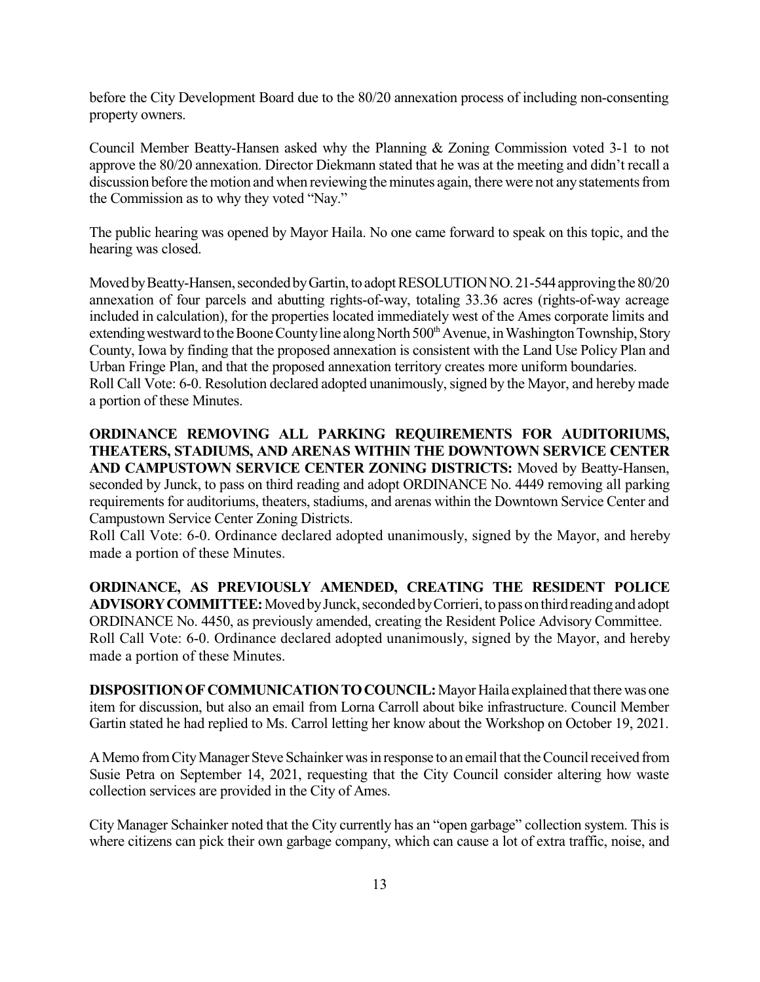before the City Development Board due to the 80/20 annexation process of including non-consenting property owners.

Council Member Beatty-Hansen asked why the Planning & Zoning Commission voted 3-1 to not approve the 80/20 annexation. Director Diekmann stated that he was at the meeting and didn't recall a discussion before the motion and when reviewing the minutes again, there were not any statements from the Commission as to why they voted "Nay."

The public hearing was opened by Mayor Haila. No one came forward to speak on this topic, and the hearing was closed.

Moved by Beatty-Hansen, seconded by Gartin, to adopt RESOLUTION NO. 21-544 approving the 80/20 annexation of four parcels and abutting rights-of-way, totaling 33.36 acres (rights-of-way acreage included in calculation), for the properties located immediately west of the Ames corporate limits and extending westward to the Boone County line along North 500<sup>th</sup> Avenue, in Washington Township, Story County, Iowa by finding that the proposed annexation is consistent with the Land Use Policy Plan and Urban Fringe Plan, and that the proposed annexation territory creates more uniform boundaries. Roll Call Vote: 6-0. Resolution declared adopted unanimously, signed by the Mayor, and hereby made a portion of these Minutes.

**ORDINANCE REMOVING ALL PARKING REQUIREMENTS FOR AUDITORIUMS, THEATERS, STADIUMS, AND ARENAS WITHIN THE DOWNTOWN SERVICE CENTER AND CAMPUSTOWN SERVICE CENTER ZONING DISTRICTS:** Moved by Beatty-Hansen, seconded by Junck, to pass on third reading and adopt ORDINANCE No. 4449 removing all parking requirements for auditoriums, theaters, stadiums, and arenas within the Downtown Service Center and Campustown Service Center Zoning Districts.

Roll Call Vote: 6-0. Ordinance declared adopted unanimously, signed by the Mayor, and hereby made a portion of these Minutes.

**ORDINANCE, AS PREVIOUSLY AMENDED, CREATING THE RESIDENT POLICE** ADVISORY COMMITTEE: Moved by Junck, seconded by Corrieri, to pass on third reading and adopt ORDINANCE No. 4450, as previously amended, creating the Resident Police Advisory Committee. Roll Call Vote: 6-0. Ordinance declared adopted unanimously, signed by the Mayor, and hereby made a portion of these Minutes.

**DISPOSITION OF COMMUNICATION TO COUNCIL:** Mayor Haila explained that there was one item for discussion, but also an email from Lorna Carroll about bike infrastructure. Council Member Gartin stated he had replied to Ms. Carrol letting her know about the Workshop on October 19, 2021.

AMemo fromCityManager Steve Schainker wasin response to anemail that theCouncilreceived from Susie Petra on September 14, 2021, requesting that the City Council consider altering how waste collection services are provided in the City of Ames.

City Manager Schainker noted that the City currently has an "open garbage" collection system. This is where citizens can pick their own garbage company, which can cause a lot of extra traffic, noise, and